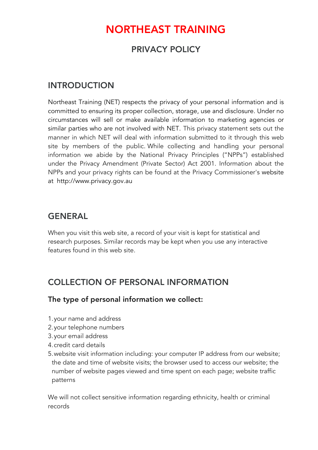# NORTHEAST TRAINING

### PRIVACY POLICY

### INTRODUCTION

Northeast Training (NET) respects the privacy of your personal information and is committed to ensuring its proper collection, storage, use and disclosure. Under no circumstances will sell or make available information to marketing agencies or similar parties who are not involved with NET. This privacy statement sets out the manner in which NET will deal with information submitted to it through this web site by members of the public. While collecting and handling your personal information we abide by the National Privacy Principles ("NPPs") established under the Privacy Amendment (Private Sector) Act 2001. Information about the NPPs and your privacy rights can be found at the Privacy Commissioner's website at http://www.privacy.gov.au

### GENERAL

When you visit this web site, a record of your visit is kept for statistical and research purposes. Similar records may be kept when you use any interactive features found in this web site.

### COLLECTION OF PERSONAL INFORMATION

#### The type of personal information we collect:

- 1.your name and address
- 2.your telephone numbers
- 3.your email address
- 4.credit card details
- 5.website visit information including: your computer IP address from our website; the date and time of website visits; the browser used to access our website; the number of website pages viewed and time spent on each page; website traffic patterns

We will not collect sensitive information regarding ethnicity, health or criminal records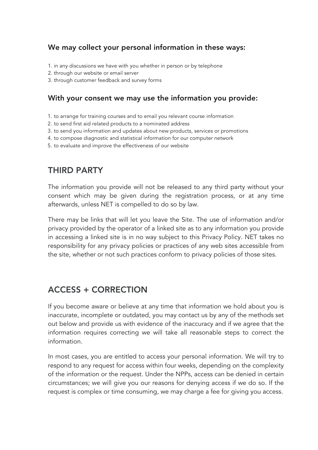### We may collect your personal information in these ways:

- 1. in any discussions we have with you whether in person or by telephone
- 2. through our website or email server
- 3. through customer feedback and survey forms

#### With your consent we may use the information you provide:

- 1. to arrange for training courses and to email you relevant course information
- 2. to send first aid related products to a nominated address
- 3. to send you information and updates about new products, services or promotions
- 4. to compose diagnostic and statistical information for our computer network
- 5. to evaluate and improve the effectiveness of our website

## THIRD PARTY

The information you provide will not be released to any third party without your consent which may be given during the registration process, or at any time afterwards, unless NET is compelled to do so by law.

There may be links that will let you leave the Site. The use of information and/or privacy provided by the operator of a linked site as to any information you provide in accessing a linked site is in no way subject to this Privacy Policy. NET takes no responsibility for any privacy policies or practices of any web sites accessible from the site, whether or not such practices conform to privacy policies of those sites.

### ACCESS + CORRECTION

If you become aware or believe at any time that information we hold about you is inaccurate, incomplete or outdated, you may contact us by any of the methods set out below and provide us with evidence of the inaccuracy and if we agree that the information requires correcting we will take all reasonable steps to correct the information.

In most cases, you are entitled to access your personal information. We will try to respond to any request for access within four weeks, depending on the complexity of the information or the request. Under the NPPs, access can be denied in certain circumstances; we will give you our reasons for denying access if we do so. If the request is complex or time consuming, we may charge a fee for giving you access.